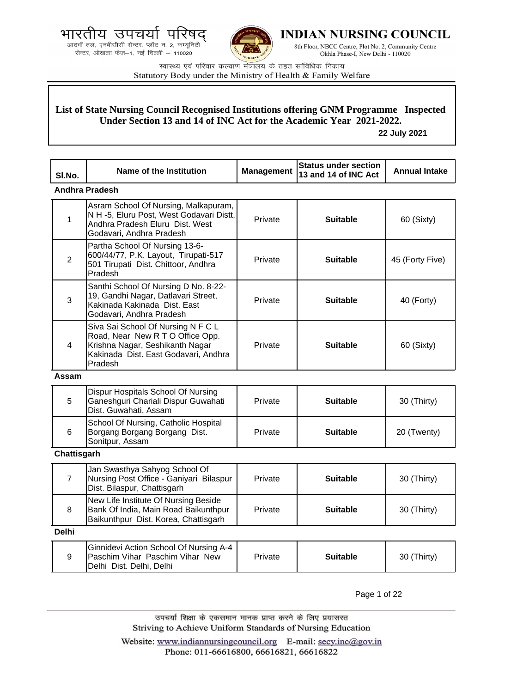आठवाँ तल, एनबीसीसी सेन्टर, प्लॉट न. 2, कम्यूनिटी सेन्टर, ओखला फेज-1, नई दिल्ली - 110020



**INDIAN NURSING COUNCIL** 

8th Floor, NBCC Centre, Plot No. 2, Community Centre Okhla Phase-I, New Delhi - 110020

स्वास्थ्य एवं परिवार कल्याण मंत्रालय के तहत सांविधिक निकाय Statutory Body under the Ministry of Health & Family Welfare

## **List of State Nursing Council Recognised Institutions offering GNM Programme Inspected Under Section 13 and 14 of INC Act for the Academic Year 2021-2022.**

 **22 July 2021**

| SI.No.         | Name of the Institution                                                                                                                                      | <b>Management</b> | <b>Status under section</b><br>13 and 14 of INC Act | <b>Annual Intake</b> |
|----------------|--------------------------------------------------------------------------------------------------------------------------------------------------------------|-------------------|-----------------------------------------------------|----------------------|
|                | <b>Andhra Pradesh</b>                                                                                                                                        |                   |                                                     |                      |
| $\mathbf{1}$   | Asram School Of Nursing, Malkapuram,<br>N H -5, Eluru Post, West Godavari Distt,<br>Andhra Pradesh Eluru Dist. West<br>Godavari, Andhra Pradesh              | Private           | <b>Suitable</b>                                     | 60 (Sixty)           |
| $\overline{2}$ | Partha School Of Nursing 13-6-<br>600/44/77, P.K. Layout, Tirupati-517<br>501 Tirupati Dist. Chittoor, Andhra<br>Pradesh                                     | Private           | <b>Suitable</b>                                     | 45 (Forty Five)      |
| 3              | Santhi School Of Nursing D No. 8-22-<br>19, Gandhi Nagar, Datlavari Street,<br>Kakinada Kakinada Dist. East<br>Godavari, Andhra Pradesh                      | Private           | <b>Suitable</b>                                     | 40 (Forty)           |
| 4              | Siva Sai School Of Nursing N F C L<br>Road, Near New R T O Office Opp.<br>Krishna Nagar, Seshikanth Nagar<br>Kakinada Dist. East Godavari, Andhra<br>Pradesh | Private           | <b>Suitable</b>                                     | 60 (Sixty)           |
| Assam          |                                                                                                                                                              |                   |                                                     |                      |
| 5              | Dispur Hospitals School Of Nursing<br>Ganeshguri Chariali Dispur Guwahati<br>Dist. Guwahati, Assam                                                           | Private           | <b>Suitable</b>                                     | 30 (Thirty)          |
| 6              | School Of Nursing, Catholic Hospital<br>Borgang Borgang Borgang Dist.<br>Sonitpur, Assam                                                                     | Private           | <b>Suitable</b>                                     | 20 (Twenty)          |
| Chattisgarh    |                                                                                                                                                              |                   |                                                     |                      |
| $\overline{7}$ | Jan Swasthya Sahyog School Of<br>Nursing Post Office - Ganiyari Bilaspur<br>Dist. Bilaspur, Chattisgarh                                                      | Private           | <b>Suitable</b>                                     | 30 (Thirty)          |
| 8              | New Life Institute Of Nursing Beside<br>Bank Of India, Main Road Baikunthpur<br>Baikunthpur Dist. Korea, Chattisgarh                                         | Private           | <b>Suitable</b>                                     | 30 (Thirty)          |
| <b>Delhi</b>   |                                                                                                                                                              |                   |                                                     |                      |
| 9              | Ginnidevi Action School Of Nursing A-4<br>Paschim Vihar Paschim Vihar New<br>Delhi Dist. Delhi, Delhi                                                        | Private           | <b>Suitable</b>                                     | 30 (Thirty)          |

Page 1 of 22

उपचर्या शिक्षा के एकसमान मानक प्राप्त करने के लिए प्रयासरत Striving to Achieve Uniform Standards of Nursing Education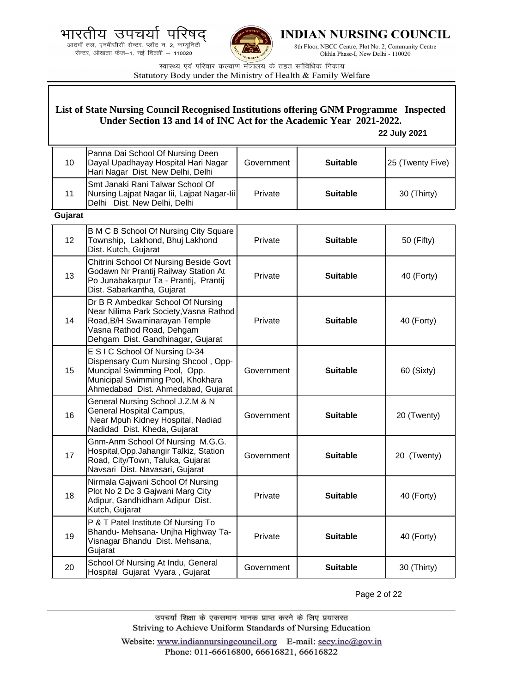



**INDIAN NURSING COUNCIL** 

8th Floor, NBCC Centre, Plot No. 2, Community Centre Okhla Phase-I, New Delhi - 110020

स्वास्थ्य एवं परिवार कल्याण मंत्रालय के तहत सांविधिक निकाय Statutory Body under the Ministry of Health & Family Welfare

# **List of State Nursing Council Recognised Institutions offering GNM Programme Inspected Under Section 13 and 14 of INC Act for the Academic Year 2021-2022.**

#### **22 July 2021**

| 10      | Panna Dai School Of Nursing Deen<br>Dayal Upadhayay Hospital Hari Nagar<br>Hari Nagar Dist. New Delhi, Delhi                                                                     | Government | <b>Suitable</b> | 25 (Twenty Five) |
|---------|----------------------------------------------------------------------------------------------------------------------------------------------------------------------------------|------------|-----------------|------------------|
| 11      | Smt Janaki Rani Talwar School Of<br>Nursing Lajpat Nagar Iii, Lajpat Nagar-Iii<br>Delhi Dist. New Delhi, Delhi                                                                   | Private    | <b>Suitable</b> | 30 (Thirty)      |
| Gujarat |                                                                                                                                                                                  |            |                 |                  |
| 12      | B M C B School Of Nursing City Square<br>Township, Lakhond, Bhuj Lakhond<br>Dist. Kutch, Gujarat                                                                                 | Private    | <b>Suitable</b> | 50 (Fifty)       |
| 13      | Chitrini School Of Nursing Beside Govt<br>Godawn Nr Prantij Railway Station At<br>Po Junabakarpur Ta - Prantij, Prantij<br>Dist. Sabarkantha, Gujarat                            | Private    | <b>Suitable</b> | 40 (Forty)       |
| 14      | Dr B R Ambedkar School Of Nursing<br>Near Nilima Park Society, Vasna Rathod<br>Road, B/H Swaminarayan Temple<br>Vasna Rathod Road, Dehgam<br>Dehgam Dist. Gandhinagar, Gujarat   | Private    | <b>Suitable</b> | 40 (Forty)       |
| 15      | E S I C School Of Nursing D-34<br>Dispensary Cum Nursing Shcool, Opp-<br>Muncipal Swimming Pool, Opp.<br>Municipal Swimming Pool, Khokhara<br>Ahmedabad Dist. Ahmedabad, Gujarat | Government | <b>Suitable</b> | 60 (Sixty)       |
| 16      | General Nursing School J.Z.M & N<br>General Hospital Campus,<br>Near Mpuh Kidney Hospital, Nadiad<br>Nadidad Dist. Kheda, Gujarat                                                | Government | <b>Suitable</b> | 20 (Twenty)      |
| 17      | Gnm-Anm School Of Nursing M.G.G.<br>Hospital, Opp. Jahangir Talkiz, Station<br>Road, City/Town, Taluka, Gujarat<br>Navsari Dist. Navasari, Gujarat                               | Government | <b>Suitable</b> | 20 (Twenty)      |
| 18      | Nirmala Gajwani School Of Nursing<br>Plot No 2 Dc 3 Gajwani Marg City<br>Adipur, Gandhidham Adipur Dist.<br>Kutch, Gujarat                                                       | Private    | <b>Suitable</b> | 40 (Forty)       |
| 19      | P & T Patel Institute Of Nursing To<br>Bhandu- Mehsana- Unjha Highway Ta-<br>Visnagar Bhandu Dist. Mehsana,<br>Gujarat                                                           | Private    | <b>Suitable</b> | 40 (Forty)       |
| 20      | School Of Nursing At Indu, General<br>Hospital Gujarat Vyara, Gujarat                                                                                                            | Government | <b>Suitable</b> | 30 (Thirty)      |

Page 2 of 22

उपचर्या शिक्षा के एकसमान मानक प्राप्त करने के लिए प्रयासरत Striving to Achieve Uniform Standards of Nursing Education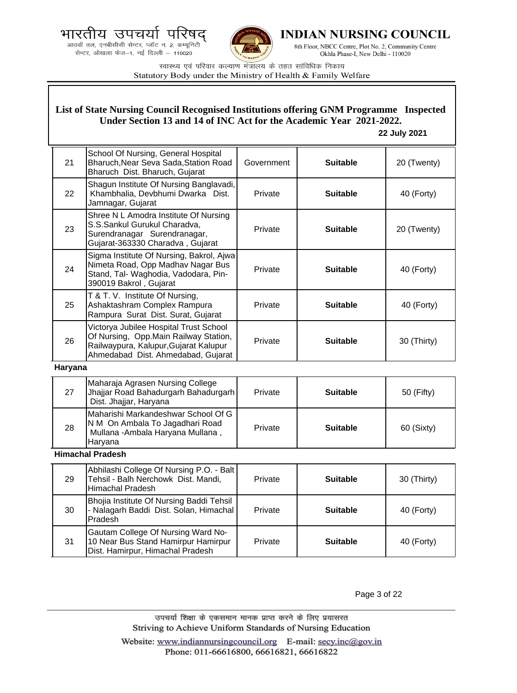.<br>आठवाँ तल, एनबीसीसी सेन्टर, प्लॉट न. 2, कम्यूनिटी सेन्टर, ओखला फेज-1, नई दिल्ली - 110020



**INDIAN NURSING COUNCIL** 

8th Floor, NBCC Centre, Plot No. 2, Community Centre Okhla Phase-I, New Delhi - 110020

स्वास्थ्य एवं परिवार कल्याण मंत्रालय के तहत सांविधिक निकाय Statutory Body under the Ministry of Health & Family Welfare

## **List of State Nursing Council Recognised Institutions offering GNM Programme Inspected Under Section 13 and 14 of INC Act for the Academic Year 2021-2022.**

#### **22 July 2021**

| 21 | School Of Nursing, General Hospital<br>Bharuch, Near Seva Sada, Station Road<br>Bharuch Dist. Bharuch, Gujarat                                                  | Government | <b>Suitable</b> | 20 (Twenty) |
|----|-----------------------------------------------------------------------------------------------------------------------------------------------------------------|------------|-----------------|-------------|
| 22 | Shagun Institute Of Nursing Banglavadi,<br>Khambhalia, Devbhumi Dwarka Dist.<br>Jamnagar, Gujarat                                                               | Private    | <b>Suitable</b> | 40 (Forty)  |
| 23 | Shree N L Amodra Institute Of Nursing<br>S.S.Sankul Gurukul Charadva,<br>Surendranagar Surendranagar,<br>Gujarat-363330 Charadva, Gujarat                       | Private    | <b>Suitable</b> | 20 (Twenty) |
| 24 | Sigma Institute Of Nursing, Bakrol, Ajwa<br>Nimeta Road, Opp Madhav Nagar Bus<br>Stand, Tal- Waghodia, Vadodara, Pin-<br>390019 Bakrol, Gujarat                 | Private    | <b>Suitable</b> | 40 (Forty)  |
| 25 | T & T. V. Institute Of Nursing,<br>Ashaktashram Complex Rampura<br>Rampura Surat Dist. Surat, Gujarat                                                           | Private    | <b>Suitable</b> | 40 (Forty)  |
| 26 | Victorya Jubilee Hospital Trust School<br>Of Nursing, Opp. Main Railway Station,<br>Railwaypura, Kalupur, Gujarat Kalupur<br>Ahmedabad Dist. Ahmedabad, Gujarat | Private    | <b>Suitable</b> | 30 (Thirty) |

#### **Haryana**

| 27 | Maharaja Agrasen Nursing College<br>Jhajjar Road Bahadurgarh Bahadurgarh<br>Dist. Jhajjar, Haryana                    | Private | <b>Suitable</b> | $50$ (Fifty) |
|----|-----------------------------------------------------------------------------------------------------------------------|---------|-----------------|--------------|
| 28 | Maharishi Markandeshwar School Of G<br>N M On Ambala To Jagadhari Road<br>Mullana -Ambala Haryana Mullana,<br>Harvana | Private | <b>Suitable</b> | 60 (Sixty)   |

### **Himachal Pradesh**

| 29 | Abhilashi College Of Nursing P.O. - Balt<br>Tehsil - Balh Nerchowk Dist. Mandi,<br><b>Himachal Pradesh</b>    | Private | <b>Suitable</b> | 30 (Thirty) |
|----|---------------------------------------------------------------------------------------------------------------|---------|-----------------|-------------|
| 30 | Bhojia Institute Of Nursing Baddi Tehsil<br>- Nalagarh Baddi Dist. Solan, Himachal<br>Pradesh                 | Private | <b>Suitable</b> | 40 (Forty)  |
| 31 | Gautam College Of Nursing Ward No-<br>10 Near Bus Stand Hamirpur Hamirpur<br>Dist. Hamirpur, Himachal Pradesh | Private | <b>Suitable</b> | 40 (Forty)  |

Page 3 of 22

उपचर्या शिक्षा के एकसमान मानक प्राप्त करने के लिए प्रयासरत Striving to Achieve Uniform Standards of Nursing Education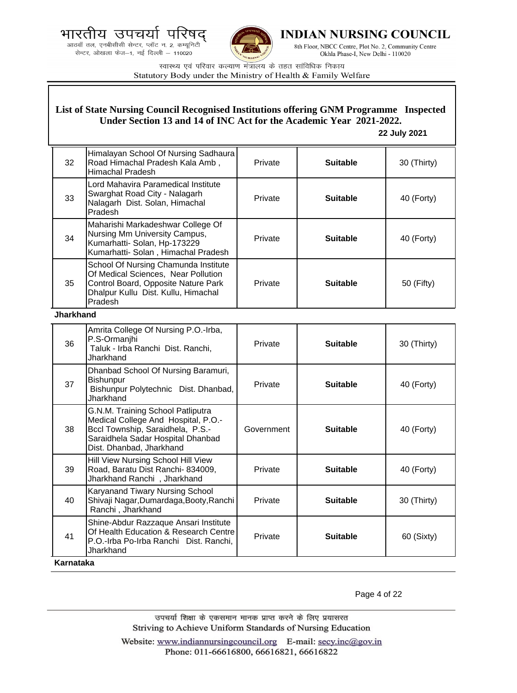



**INDIAN NURSING COUNCIL** 

8th Floor, NBCC Centre, Plot No. 2, Community Centre Okhla Phase-I, New Delhi - 110020

स्वास्थ्य एवं परिवार कल्याण मंत्रालय के तहत सांविधिक निकाय Statutory Body under the Ministry of Health & Family Welfare

## **List of State Nursing Council Recognised Institutions offering GNM Programme Inspected Under Section 13 and 14 of INC Act for the Academic Year 2021-2022.**

#### **22 July 2021**

| 32               | Himalayan School Of Nursing Sadhaura<br>Road Himachal Pradesh Kala Amb,<br><b>Himachal Pradesh</b>                                                                            | Private    | <b>Suitable</b> | 30 (Thirty) |
|------------------|-------------------------------------------------------------------------------------------------------------------------------------------------------------------------------|------------|-----------------|-------------|
| 33               | Lord Mahavira Paramedical Institute<br>Swarghat Road City - Nalagarh<br>Nalagarh Dist. Solan, Himachal<br>Pradesh                                                             | Private    | <b>Suitable</b> | 40 (Forty)  |
| 34               | Maharishi Markadeshwar College Of<br>Nursing Mm University Campus,<br>Kumarhatti- Solan, Hp-173229<br>Kumarhatti- Solan, Himachal Pradesh                                     | Private    | <b>Suitable</b> | 40 (Forty)  |
| 35               | School Of Nursing Chamunda Institute<br>Of Medical Sciences, Near Pollution<br>Control Board, Opposite Nature Park<br>Dhalpur Kullu Dist. Kullu, Himachal<br>Pradesh          | Private    | <b>Suitable</b> | 50 (Fifty)  |
| <b>Jharkhand</b> |                                                                                                                                                                               |            |                 |             |
| 36               | Amrita College Of Nursing P.O.-Irba,<br>P.S-Ormanjhi<br>Taluk - Irba Ranchi Dist. Ranchi,<br>Jharkhand                                                                        | Private    | <b>Suitable</b> | 30 (Thirty) |
| 37               | Dhanbad School Of Nursing Baramuri,<br>Bishunpur<br>Bishunpur Polytechnic Dist. Dhanbad,<br>Jharkhand                                                                         | Private    | <b>Suitable</b> | 40 (Forty)  |
| 38               | G.N.M. Training School Patliputra<br>Medical College And Hospital, P.O.-<br>Bccl Township, Saraidhela, P.S.-<br>Saraidhela Sadar Hospital Dhanbad<br>Dist. Dhanbad, Jharkhand | Government | <b>Suitable</b> | 40 (Forty)  |
| 39               | Hill View Nursing School Hill View<br>Road, Baratu Dist Ranchi- 834009,<br>Jharkhand Ranchi, Jharkhand                                                                        | Private    | <b>Suitable</b> | 40 (Forty)  |
| 40               | Karyanand Tiwary Nursing School<br>Shivaji Nagar, Dumardaga, Booty, Ranchi<br>Ranchi, Jharkhand                                                                               | Private    | <b>Suitable</b> | 30 (Thirty) |
| 41               | Shine-Abdur Razzaque Ansari Institute<br>Of Health Education & Research Centre<br>P.O.-Irba Po-Irba Ranchi Dist. Ranchi,<br>Jharkhand                                         | Private    | <b>Suitable</b> | 60 (Sixty)  |
| Karnataka        |                                                                                                                                                                               |            |                 |             |

Page 4 of 22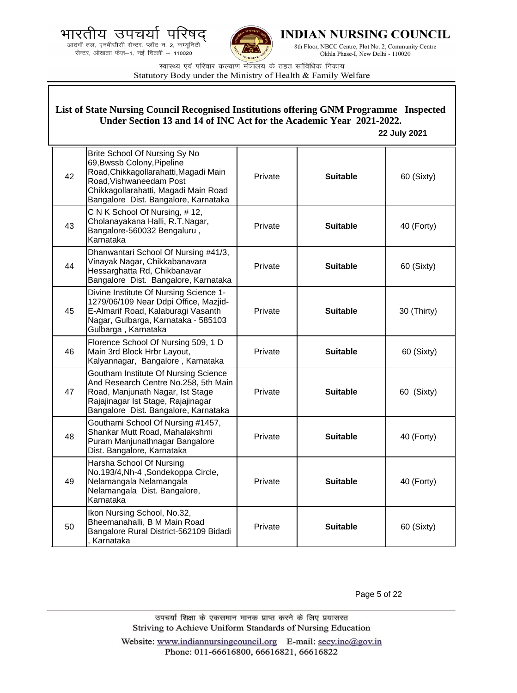भारतीय उपचर्या ਧ





INDIAN NURSING COUNCIL

8th Floor, NBCC Centre, Plot No. 2, Community Centre Okhla Phase-I, New Delhi - 110020

स्वास्थ्य एवं परिवार कल्याण मंत्रालय के तहत सांविधिक निकाय Statutory Body under the Ministry of Health & Family Welfare

#### 42 Brite School Of Nursing Sy No 69,Bwssb Colony,Pipeline Road,Chikkagollarahatti,Magadi Main Road,Vishwaneedam Post Chikkagollarahatti, Magadi Main Road Bangalore Dist. Bangalore, Karnataka Private **Suitable 60 (Sixty)** 43 C N K School Of Nursing, # 12, Cholanayakana Halli, R.T.Nagar, Bangalore-560032 Bengaluru , Karnataka Private **Suitable 40 (Forty)** 44 Dhanwantari School Of Nursing #41/3, Vinayak Nagar, Chikkabanavara Hessarghatta Rd, Chikbanavar Bangalore Dist. Bangalore, Karnataka Private **Suitable 60 (Sixty)** 45 Divine Institute Of Nursing Science 1- 1279/06/109 Near Ddpi Office, Mazjid-E-Almarif Road, Kalaburagi Vasanth Nagar, Gulbarga, Karnataka - 585103 Gulbarga , Karnataka Private **Suitable** | 30 (Thirty) 46 Florence School Of Nursing 509, 1 D Main 3rd Block Hrbr Layout, Kalyannagar, Bangalore , Karnataka Private **Suitable 60 (Sixty)** 47 Goutham Institute Of Nursing Science And Research Centre No.258, 5th Main Road, Manjunath Nagar, Ist Stage Rajajinagar Ist Stage, Rajajinagar Bangalore Dist. Bangalore, Karnataka Private | **Suitable** | 60 (Sixty) 48 Gouthami School Of Nursing #1457, Shankar Mutt Road, Mahalakshmi Puram Manjunathnagar Bangalore Dist. Bangalore, Karnataka Private **Suitable 40 (Forty)** 49 Harsha School Of Nursing No.193/4,Nh-4 ,Sondekoppa Circle, Nelamangala Nelamangala Nelamangala Dist. Bangalore, Karnataka Private **Suitable 40 (Forty)** 50 Ikon Nursing School, No.32, Bheemanahalli, B M Main Road Bangalore Rural District-562109 Bidadi , Karnataka Private **Suitable 60 (Sixty) List of State Nursing Council Recognised Institutions offering GNM Programme Inspected Under Section 13 and 14 of INC Act for the Academic Year 2021-2022. 22 July 2021**

Page 5 of 22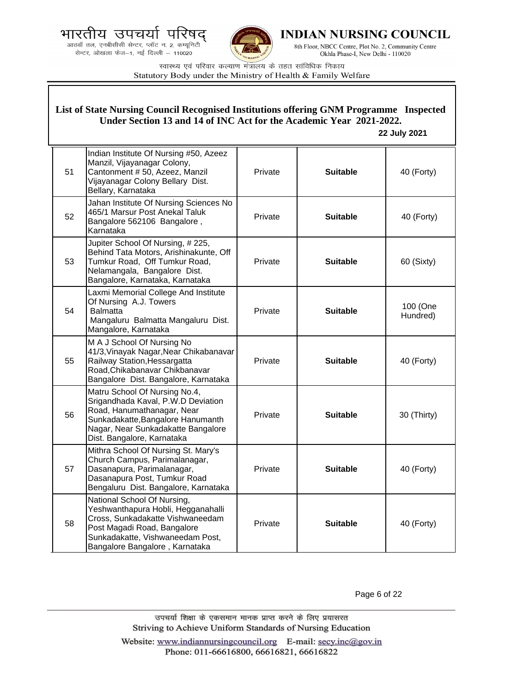.<br>आठवाँ तल, एनबीसीसी सेन्टर, प्लॉट न. 2, कम्यूनिटी<br>सेन्टर, ओखला फेज—1, नई दिल्ली — 110020



**INDIAN NURSING COUNCIL** 

8th Floor, NBCC Centre, Plot No. 2, Community Centre Okhla Phase-I, New Delhi - 110020

स्वास्थ्य एवं परिवार कल्याण मंत्रालय के तहत सांविधिक निकाय Statutory Body under the Ministry of Health & Family Welfare

| List of State Nursing Council Recognised Institutions offering GNM Programme Inspected<br>Under Section 13 and 14 of INC Act for the Academic Year 2021-2022.<br>22 July 2021 |                                                                                                                                                                                                            |         |                 |                      |
|-------------------------------------------------------------------------------------------------------------------------------------------------------------------------------|------------------------------------------------------------------------------------------------------------------------------------------------------------------------------------------------------------|---------|-----------------|----------------------|
| 51                                                                                                                                                                            | Indian Institute Of Nursing #50, Azeez<br>Manzil, Vijayanagar Colony,<br>Cantonment # 50, Azeez, Manzil<br>Vijayanagar Colony Bellary Dist.<br>Bellary, Karnataka                                          | Private | <b>Suitable</b> | 40 (Forty)           |
| 52                                                                                                                                                                            | Jahan Institute Of Nursing Sciences No<br>465/1 Marsur Post Anekal Taluk<br>Bangalore 562106 Bangalore,<br>Karnataka                                                                                       | Private | <b>Suitable</b> | 40 (Forty)           |
| 53                                                                                                                                                                            | Jupiter School Of Nursing, #225,<br>Behind Tata Motors, Arishinakunte, Off<br>Tumkur Road, Off Tumkur Road,<br>Nelamangala, Bangalore Dist.<br>Bangalore, Karnataka, Karnataka                             | Private | <b>Suitable</b> | 60 (Sixty)           |
| 54                                                                                                                                                                            | Laxmi Memorial College And Institute<br>Of Nursing A.J. Towers<br><b>Balmatta</b><br>Mangaluru Balmatta Mangaluru Dist.<br>Mangalore, Karnataka                                                            | Private | <b>Suitable</b> | 100 (One<br>Hundred) |
| 55                                                                                                                                                                            | M A J School Of Nursing No<br>41/3, Vinayak Nagar, Near Chikabanavar<br>Railway Station, Hessargatta<br>Road, Chikabanavar Chikbanavar<br>Bangalore Dist. Bangalore, Karnataka                             | Private | <b>Suitable</b> | 40 (Forty)           |
| 56                                                                                                                                                                            | Matru School Of Nursing No.4,<br>Srigandhada Kaval, P.W.D Deviation<br>Road, Hanumathanagar, Near<br>Sunkadakatte, Bangalore Hanumanth<br>Nagar, Near Sunkadakatte Bangalore<br>Dist. Bangalore, Karnataka | Private | <b>Suitable</b> | 30 (Thirty)          |
| 57                                                                                                                                                                            | Mithra School Of Nursing St. Mary's<br>Church Campus, Parimalanagar,<br>Dasanapura, Parimalanagar,<br>Dasanapura Post, Tumkur Road<br>Bengaluru Dist. Bangalore, Karnataka                                 | Private | <b>Suitable</b> | 40 (Forty)           |
| 58                                                                                                                                                                            | National School Of Nursing,<br>Yeshwanthapura Hobli, Hegganahalli<br>Cross, Sunkadakatte Vishwaneedam<br>Post Magadi Road, Bangalore<br>Sunkadakatte, Vishwaneedam Post,<br>Bangalore Bangalore, Karnataka | Private | <b>Suitable</b> | 40 (Forty)           |

Page 6 of 22

उपचर्या शिक्षा के एकसमान मानक प्राप्त करने के लिए प्रयासरत Striving to Achieve Uniform Standards of Nursing Education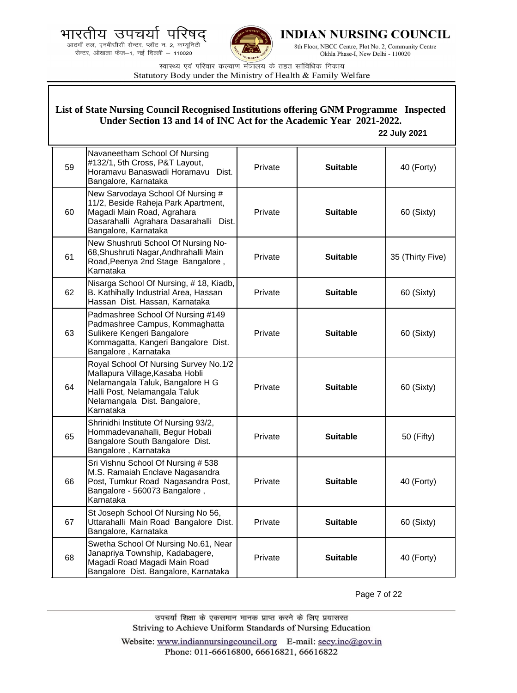.<br>आठवाँ तल, एनबीसीसी सेन्टर, प्लॉट न. 2, कम्यूनिटी<br>सेन्टर, ओखला फेज—1, नई दिल्ली — 110020



**INDIAN NURSING COUNCIL** 

8th Floor, NBCC Centre, Plot No. 2, Community Centre Okhla Phase-I, New Delhi - 110020

स्वास्थ्य एवं परिवार कल्याण मंत्रालय के तहत सांविधिक निकाय Statutory Body under the Ministry of Health & Family Welfare

| List of State Nursing Council Recognised Institutions offering GNM Programme Inspected<br>Under Section 13 and 14 of INC Act for the Academic Year 2021-2022.<br>22 July 2021 |                                                                                                                                                                                            |         |                 |                  |
|-------------------------------------------------------------------------------------------------------------------------------------------------------------------------------|--------------------------------------------------------------------------------------------------------------------------------------------------------------------------------------------|---------|-----------------|------------------|
| 59                                                                                                                                                                            | Navaneetham School Of Nursing<br>#132/1, 5th Cross, P&T Layout,<br>Horamavu Banaswadi Horamavu Dist.<br>Bangalore, Karnataka                                                               | Private | <b>Suitable</b> | 40 (Forty)       |
| 60                                                                                                                                                                            | New Sarvodaya School Of Nursing #<br>11/2, Beside Raheja Park Apartment,<br>Magadi Main Road, Agrahara<br>Dasarahalli Agrahara Dasarahalli Dist.<br>Bangalore, Karnataka                   | Private | <b>Suitable</b> | 60 (Sixty)       |
| 61                                                                                                                                                                            | New Shushruti School Of Nursing No-<br>68, Shushruti Nagar, Andhrahalli Main<br>Road, Peenya 2nd Stage Bangalore,<br>Karnataka                                                             | Private | <b>Suitable</b> | 35 (Thirty Five) |
| 62                                                                                                                                                                            | Nisarga School Of Nursing, #18, Kiadb,<br>B. Kathihally Industrial Area, Hassan<br>Hassan Dist. Hassan, Karnataka                                                                          | Private | <b>Suitable</b> | 60 (Sixty)       |
| 63                                                                                                                                                                            | Padmashree School Of Nursing #149<br>Padmashree Campus, Kommaghatta<br>Sulikere Kengeri Bangalore<br>Kommagatta, Kangeri Bangalore Dist.<br>Bangalore, Karnataka                           | Private | <b>Suitable</b> | 60 (Sixty)       |
| 64                                                                                                                                                                            | Royal School Of Nursing Survey No.1/2<br>Mallapura Village, Kasaba Hobli<br>Nelamangala Taluk, Bangalore H G<br>Halli Post, Nelamangala Taluk<br>Nelamangala Dist. Bangalore,<br>Karnataka | Private | <b>Suitable</b> | 60 (Sixty)       |
| 65                                                                                                                                                                            | Shrinidhi Institute Of Nursing 93/2,<br>Hommadevanahalli, Begur Hobali<br>Bangalore South Bangalore Dist.<br>Bangalore, Karnataka                                                          | Private | <b>Suitable</b> | 50 (Fifty)       |
| 66                                                                                                                                                                            | Sri Vishnu School Of Nursing # 538<br>M.S. Ramaiah Enclave Nagasandra<br>Post, Tumkur Road Nagasandra Post,<br>Bangalore - 560073 Bangalore,<br>Karnataka                                  | Private | <b>Suitable</b> | 40 (Forty)       |
| 67                                                                                                                                                                            | St Joseph School Of Nursing No 56,<br>Uttarahalli Main Road Bangalore Dist.<br>Bangalore, Karnataka                                                                                        | Private | <b>Suitable</b> | 60 (Sixty)       |
| 68                                                                                                                                                                            | Swetha School Of Nursing No.61, Near<br>Janapriya Township, Kadabagere,<br>Magadi Road Magadi Main Road<br>Bangalore Dist. Bangalore, Karnataka                                            | Private | <b>Suitable</b> | 40 (Forty)       |

Page 7 of 22

उपचर्या शिक्षा के एकसमान मानक प्राप्त करने के लिए प्रयासरत Striving to Achieve Uniform Standards of Nursing Education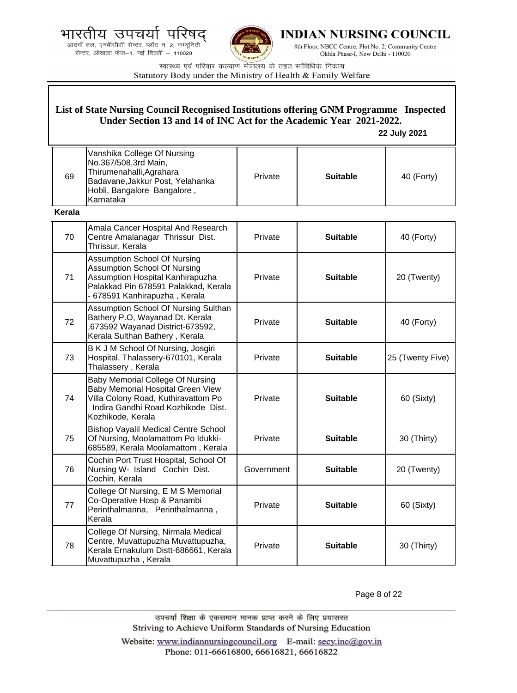आठवाँ तल, एनबीसीसी सेन्टर, प्लॉट न. 2, कम्यूनिटी सेन्टर, ओखला फेज-1, नई दिल्ली - 110020



**INDIAN NURSING COUNCIL** 

8th Floor, NBCC Centre, Plot No. 2, Community Centre Okhla Phase-I, New Delhi - 110020

स्वास्थ्य एवं परिवार कल्याण मंत्रालय के तहत सांविधिक निकाय Statutory Body under the Ministry of Health & Family Welfare

### **List of State Nursing Council Recognised Institutions offering GNM Programme Inspected Under Section 13 and 14 of INC Act for the Academic Year 2021-2022.**

 **22 July 2021**

| 69 | Vanshika College Of Nursing<br>No.367/508,3rd Main,<br>Thirumenahalli, Agrahara<br>Badavane, Jakkur Post, Yelahanka<br>Hobli, Bangalore Bangalore,<br>Karnataka | Private | <b>Suitable</b> | 40 (Forty) |
|----|-----------------------------------------------------------------------------------------------------------------------------------------------------------------|---------|-----------------|------------|
|    |                                                                                                                                                                 |         |                 |            |

**Kerala**

| 70 | Amala Cancer Hospital And Research<br>Centre Amalanagar Thrissur Dist.<br>Thrissur, Kerala                                                                                              | Private    | <b>Suitable</b> | 40 (Forty)       |
|----|-----------------------------------------------------------------------------------------------------------------------------------------------------------------------------------------|------------|-----------------|------------------|
| 71 | <b>Assumption School Of Nursing</b><br><b>Assumption School Of Nursing</b><br>Assumption Hospital Kanhirapuzha<br>Palakkad Pin 678591 Palakkad, Kerala<br>- 678591 Kanhirapuzha, Kerala | Private    | <b>Suitable</b> | 20 (Twenty)      |
| 72 | Assumption School Of Nursing Sulthan<br>Bathery P.O, Wayanad Dt. Kerala<br>,673592 Wayanad District-673592,<br>Kerala Sulthan Bathery, Kerala                                           | Private    | <b>Suitable</b> | 40 (Forty)       |
| 73 | B K J M School Of Nursing, Josgiri<br>Hospital, Thalassery-670101, Kerala<br>Thalassery, Kerala                                                                                         | Private    | <b>Suitable</b> | 25 (Twenty Five) |
| 74 | Baby Memorial College Of Nursing<br>Baby Memorial Hospital Green View<br>Villa Colony Road, Kuthiravattom Po<br>Indira Gandhi Road Kozhikode Dist.<br>Kozhikode, Kerala                 | Private    | <b>Suitable</b> | 60 (Sixty)       |
| 75 | <b>Bishop Vayalil Medical Centre School</b><br>Of Nursing, Moolamattom Po Idukki-<br>685589, Kerala Moolamattom, Kerala                                                                 | Private    | <b>Suitable</b> | 30 (Thirty)      |
| 76 | Cochin Port Trust Hospital, School Of<br>Nursing W- Island Cochin Dist.<br>Cochin, Kerala                                                                                               | Government | <b>Suitable</b> | 20 (Twenty)      |
| 77 | College Of Nursing, E M S Memorial<br>Co-Operative Hosp & Panambi<br>Perinthalmanna, Perinthalmanna,<br>Kerala                                                                          | Private    | <b>Suitable</b> | 60 (Sixty)       |
| 78 | College Of Nursing, Nirmala Medical<br>Centre, Muvattupuzha Muvattupuzha,<br>Kerala Ernakulum Distt-686661, Kerala<br>Muvattupuzha, Kerala                                              | Private    | <b>Suitable</b> | 30 (Thirty)      |

Page 8 of 22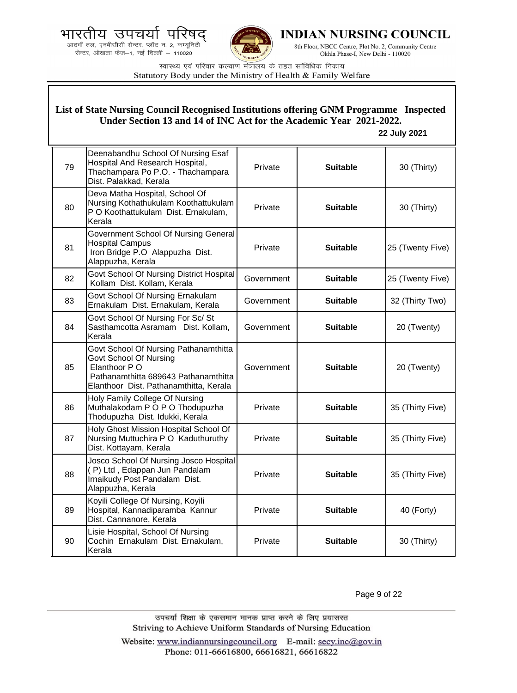.<br>आठवाँ तल, एनबीसीसी सेन्टर, प्लॉट न. 2, कम्यूनिटी<br>सेन्टर, ओखला फेज—1, नई दिल्ली — 110020



**INDIAN NURSING COUNCIL** 

8th Floor, NBCC Centre, Plot No. 2, Community Centre Okhla Phase-I, New Delhi - 110020

स्वास्थ्य एवं परिवार कल्याण मंत्रालय के तहत सांविधिक निकाय Statutory Body under the Ministry of Health & Family Welfare

| List of State Nursing Council Recognised Institutions offering GNM Programme Inspected<br>Under Section 13 and 14 of INC Act for the Academic Year 2021-2022.<br>22 July 2021 |                                                                                                                                                                    |            |                 |                  |
|-------------------------------------------------------------------------------------------------------------------------------------------------------------------------------|--------------------------------------------------------------------------------------------------------------------------------------------------------------------|------------|-----------------|------------------|
| 79                                                                                                                                                                            | Deenabandhu School Of Nursing Esaf<br>Hospital And Research Hospital,<br>Thachampara Po P.O. - Thachampara<br>Dist. Palakkad, Kerala                               | Private    | <b>Suitable</b> | 30 (Thirty)      |
| 80                                                                                                                                                                            | Deva Matha Hospital, School Of<br>Nursing Kothathukulam Koothattukulam<br>P O Koothattukulam Dist. Ernakulam,<br>Kerala                                            | Private    | <b>Suitable</b> | 30 (Thirty)      |
| 81                                                                                                                                                                            | Government School Of Nursing General<br><b>Hospital Campus</b><br>Iron Bridge P.O Alappuzha Dist.<br>Alappuzha, Kerala                                             | Private    | <b>Suitable</b> | 25 (Twenty Five) |
| 82                                                                                                                                                                            | Govt School Of Nursing District Hospital<br>Kollam Dist. Kollam, Kerala                                                                                            | Government | <b>Suitable</b> | 25 (Twenty Five) |
| 83                                                                                                                                                                            | Govt School Of Nursing Ernakulam<br>Ernakulam Dist. Ernakulam, Kerala                                                                                              | Government | <b>Suitable</b> | 32 (Thirty Two)  |
| 84                                                                                                                                                                            | Govt School Of Nursing For Sc/ St<br>Sasthamcotta Asramam Dist. Kollam,<br>Kerala                                                                                  | Government | <b>Suitable</b> | 20 (Twenty)      |
| 85                                                                                                                                                                            | Govt School Of Nursing Pathanamthitta<br>Govt School Of Nursing<br>Elanthoor P O<br>Pathanamthitta 689643 Pathanamthitta<br>Elanthoor Dist. Pathanamthitta, Kerala | Government | <b>Suitable</b> | 20 (Twenty)      |
| 86                                                                                                                                                                            | Holy Family College Of Nursing<br>Muthalakodam P O P O Thodupuzha<br>Thodupuzha Dist. Idukki, Kerala                                                               | Private    | <b>Suitable</b> | 35 (Thirty Five) |
| 87                                                                                                                                                                            | Holy Ghost Mission Hospital School Of<br>Nursing Muttuchira P O Kaduthuruthy<br>Dist. Kottayam, Kerala                                                             | Private    | <b>Suitable</b> | 35 (Thirty Five) |
| 88                                                                                                                                                                            | Josco School Of Nursing Josco Hospital<br>(P) Ltd, Edappan Jun Pandalam<br>Irnaikudy Post Pandalam Dist.<br>Alappuzha, Kerala                                      | Private    | <b>Suitable</b> | 35 (Thirty Five) |
| 89                                                                                                                                                                            | Koyili College Of Nursing, Koyili<br>Hospital, Kannadiparamba Kannur<br>Dist. Cannanore, Kerala                                                                    | Private    | <b>Suitable</b> | 40 (Forty)       |
| 90                                                                                                                                                                            | Lisie Hospital, School Of Nursing<br>Cochin Ernakulam Dist. Ernakulam,<br>Kerala                                                                                   | Private    | <b>Suitable</b> | 30 (Thirty)      |

Page 9 of 22

उपचर्या शिक्षा के एकसमान मानक प्राप्त करने के लिए प्रयासरत Striving to Achieve Uniform Standards of Nursing Education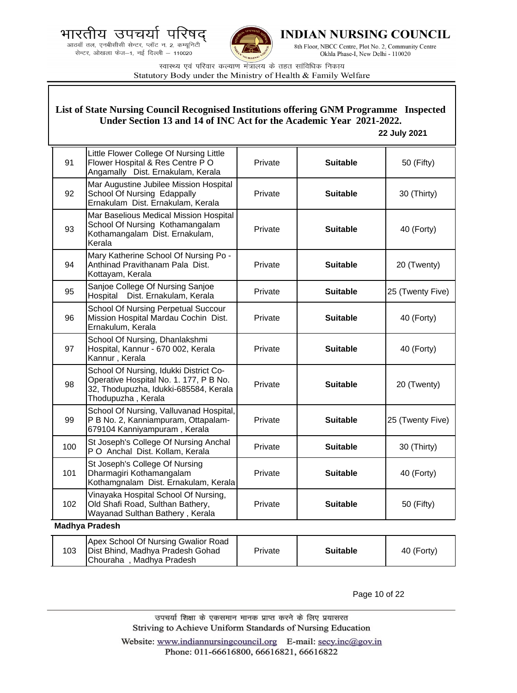



**INDIAN NURSING COUNCIL** 

8th Floor, NBCC Centre, Plot No. 2, Community Centre Okhla Phase-I, New Delhi - 110020

स्वास्थ्य एवं परिवार कल्याण मंत्रालय के तहत सांविधिक निकाय Statutory Body under the Ministry of Health & Family Welfare

### **List of State Nursing Council Recognised Institutions offering GNM Programme Inspected Under Section 13 and 14 of INC Act for the Academic Year 2021-2022.**

#### **22 July 2021**

| 91  | Little Flower College Of Nursing Little<br>Flower Hospital & Res Centre PO<br>Angamally Dist. Ernakulam, Kerala                                 | Private | <b>Suitable</b> | 50 (Fifty)       |  |
|-----|-------------------------------------------------------------------------------------------------------------------------------------------------|---------|-----------------|------------------|--|
| 92  | Mar Augustine Jubilee Mission Hospital<br>School Of Nursing Edappally<br>Ernakulam Dist. Ernakulam, Kerala                                      | Private | <b>Suitable</b> | 30 (Thirty)      |  |
| 93  | Mar Baselious Medical Mission Hospital<br>School Of Nursing Kothamangalam<br>Kothamangalam Dist. Ernakulam,<br>Kerala                           | Private | <b>Suitable</b> | 40 (Forty)       |  |
| 94  | Mary Katherine School Of Nursing Po -<br>Anthinad Pravithanam Pala Dist.<br>Kottayam, Kerala                                                    | Private | <b>Suitable</b> | 20 (Twenty)      |  |
| 95  | Sanjoe College Of Nursing Sanjoe<br>Dist. Ernakulam, Kerala<br>Hospital                                                                         | Private | <b>Suitable</b> | 25 (Twenty Five) |  |
| 96  | School Of Nursing Perpetual Succour<br>Mission Hospital Mardau Cochin Dist.<br>Ernakulum, Kerala                                                | Private | <b>Suitable</b> | 40 (Forty)       |  |
| 97  | School Of Nursing, Dhanlakshmi<br>Hospital, Kannur - 670 002, Kerala<br>Kannur, Kerala                                                          | Private | <b>Suitable</b> | 40 (Forty)       |  |
| 98  | School Of Nursing, Idukki District Co-<br>Operative Hospital No. 1. 177, P B No.<br>32, Thodupuzha, Idukki-685584, Kerala<br>Thodupuzha, Kerala | Private | <b>Suitable</b> | 20 (Twenty)      |  |
| 99  | School Of Nursing, Valluvanad Hospital,<br>P B No. 2, Kanniampuram, Ottapalam-<br>679104 Kanniyampuram, Kerala                                  | Private | <b>Suitable</b> | 25 (Twenty Five) |  |
| 100 | St Joseph's College Of Nursing Anchal<br>PO Anchal Dist. Kollam, Kerala                                                                         | Private | <b>Suitable</b> | 30 (Thirty)      |  |
| 101 | St Joseph's College Of Nursing<br>Dharmagiri Kothamangalam<br>Kothamgnalam Dist. Ernakulam, Kerala                                              | Private | <b>Suitable</b> | 40 (Forty)       |  |
| 102 | Vinayaka Hospital School Of Nursing,<br>Old Shafi Road, Sulthan Bathery,<br>Wayanad Sulthan Bathery, Kerala                                     | Private | <b>Suitable</b> | 50 (Fifty)       |  |
|     | <b>Madhya Pradesh</b>                                                                                                                           |         |                 |                  |  |

| 103 | Apex School Of Nursing Gwalior Road<br>Dist Bhind, Madhya Pradesh Gohad<br>Chouraha, Madhya Pradesh | Private | <b>Suitable</b> | 40 (Forty) |
|-----|-----------------------------------------------------------------------------------------------------|---------|-----------------|------------|
|-----|-----------------------------------------------------------------------------------------------------|---------|-----------------|------------|

Page 10 of 22

उपचर्या शिक्षा के एकसमान मानक प्राप्त करने के लिए प्रयासरत Striving to Achieve Uniform Standards of Nursing Education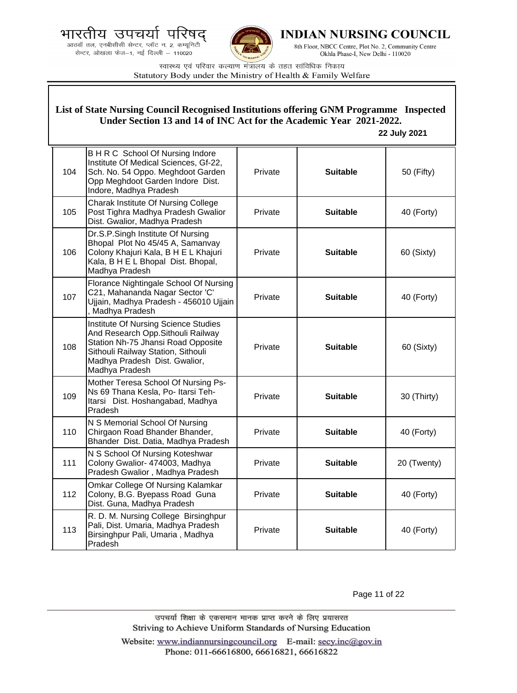



**INDIAN NURSING COUNCIL** 

8th Floor, NBCC Centre, Plot No. 2, Community Centre Okhla Phase-I, New Delhi - 110020

स्वास्थ्य एवं परिवार कल्याण मंत्रालय के तहत सांविधिक निकाय Statutory Body under the Ministry of Health & Family Welfare

| List of State Nursing Council Recognised Institutions offering GNM Programme Inspected<br>Under Section 13 and 14 of INC Act for the Academic Year 2021-2022.<br>22 July 2021 |                                                                                                                                                                                                           |         |                 |             |
|-------------------------------------------------------------------------------------------------------------------------------------------------------------------------------|-----------------------------------------------------------------------------------------------------------------------------------------------------------------------------------------------------------|---------|-----------------|-------------|
| 104                                                                                                                                                                           | B H R C School Of Nursing Indore<br>Institute Of Medical Sciences, Gf-22,<br>Sch. No. 54 Oppo. Meghdoot Garden<br>Opp Meghdoot Garden Indore Dist.<br>Indore, Madhya Pradesh                              | Private | <b>Suitable</b> | 50 (Fifty)  |
| 105                                                                                                                                                                           | Charak Institute Of Nursing College<br>Post Tighra Madhya Pradesh Gwalior<br>Dist. Gwalior, Madhya Pradesh                                                                                                | Private | <b>Suitable</b> | 40 (Forty)  |
| 106                                                                                                                                                                           | Dr.S.P.Singh Institute Of Nursing<br>Bhopal Plot No 45/45 A, Samanvay<br>Colony Khajuri Kala, B H E L Khajuri<br>Kala, B H E L Bhopal Dist. Bhopal,<br>Madhya Pradesh                                     | Private | <b>Suitable</b> | 60 (Sixty)  |
| 107                                                                                                                                                                           | Florance Nightingale School Of Nursing<br>C21, Mahananda Nagar Sector 'C'<br>Ujjain, Madhya Pradesh - 456010 Ujjain<br>, Madhya Pradesh                                                                   | Private | <b>Suitable</b> | 40 (Forty)  |
| 108                                                                                                                                                                           | Institute Of Nursing Science Studies<br>And Research Opp. Sithouli Railway<br>Station Nh-75 Jhansi Road Opposite<br>Sithouli Railway Station, Sithouli<br>Madhya Pradesh Dist. Gwalior,<br>Madhya Pradesh | Private | <b>Suitable</b> | 60 (Sixty)  |
| 109                                                                                                                                                                           | Mother Teresa School Of Nursing Ps-<br>Ns 69 Thana Kesla, Po- Itarsi Teh-<br>Itarsi Dist. Hoshangabad, Madhya<br>Pradesh                                                                                  | Private | <b>Suitable</b> | 30 (Thirty) |
| 110                                                                                                                                                                           | N S Memorial School Of Nursing<br>Chirgaon Road Bhander Bhander,<br>Bhander Dist. Datia, Madhya Pradesh                                                                                                   | Private | <b>Suitable</b> | 40 (Forty)  |
| 111                                                                                                                                                                           | N S School Of Nursing Koteshwar<br>Colony Gwalior- 474003, Madhya<br>Pradesh Gwalior, Madhya Pradesh                                                                                                      | Private | <b>Suitable</b> | 20 (Twenty) |
| 112                                                                                                                                                                           | Omkar College Of Nursing Kalamkar<br>Colony, B.G. Byepass Road Guna<br>Dist. Guna, Madhya Pradesh                                                                                                         | Private | <b>Suitable</b> | 40 (Forty)  |
| 113                                                                                                                                                                           | R. D. M. Nursing College Birsinghpur<br>Pali, Dist. Umaria, Madhya Pradesh<br>Birsinghpur Pali, Umaria, Madhya<br>Pradesh                                                                                 | Private | <b>Suitable</b> | 40 (Forty)  |

Page 11 of 22

उपचर्या शिक्षा के एकसमान मानक प्राप्त करने के लिए प्रयासरत Striving to Achieve Uniform Standards of Nursing Education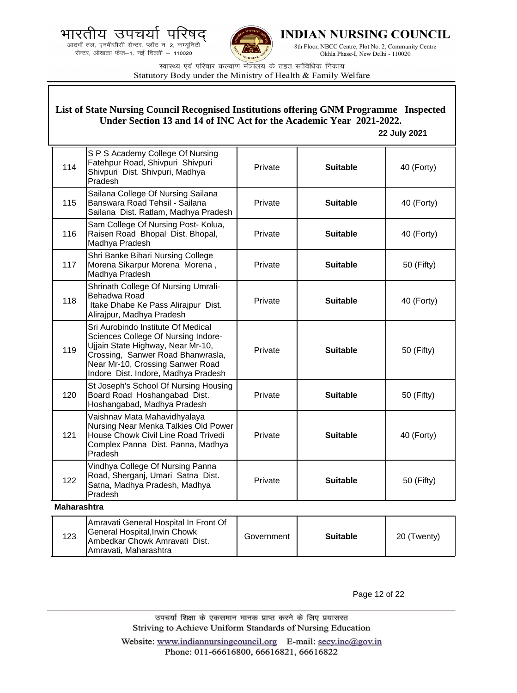

Ambedkar Chowk Amravati Dist.

Amravati, Maharashtra



**INDIAN NURSING COUNCIL** 

8th Floor, NBCC Centre, Plot No. 2, Community Centre Okhla Phase-I, New Delhi - 110020

स्वास्थ्य एवं परिवार कल्याण मंत्रालय के तहत सांविधिक निकाय Statutory Body under the Ministry of Health & Family Welfare

|                    | List of State Nursing Council Recognised Institutions offering GNM Programme Inspected<br>Under Section 13 and 14 of INC Act for the Academic Year 2021-2022.<br>22 July 2021                                                  |            |                 |             |  |
|--------------------|--------------------------------------------------------------------------------------------------------------------------------------------------------------------------------------------------------------------------------|------------|-----------------|-------------|--|
| 114                | S P S Academy College Of Nursing<br>Fatehpur Road, Shivpuri Shivpuri<br>Shivpuri Dist. Shivpuri, Madhya<br>Pradesh                                                                                                             | Private    | <b>Suitable</b> | 40 (Forty)  |  |
| 115                | Sailana College Of Nursing Sailana<br>Banswara Road Tehsil - Sailana<br>Sailana Dist. Ratlam, Madhya Pradesh                                                                                                                   | Private    | <b>Suitable</b> | 40 (Forty)  |  |
| 116                | Sam College Of Nursing Post- Kolua,<br>Raisen Road Bhopal Dist. Bhopal,<br>Madhya Pradesh                                                                                                                                      | Private    | <b>Suitable</b> | 40 (Forty)  |  |
| 117                | Shri Banke Bihari Nursing College<br>Morena Sikarpur Morena Morena,<br>Madhya Pradesh                                                                                                                                          | Private    | <b>Suitable</b> | 50 (Fifty)  |  |
| 118                | Shrinath College Of Nursing Umrali-<br>Behadwa Road<br>Itake Dhabe Ke Pass Alirajpur Dist.<br>Alirajpur, Madhya Pradesh                                                                                                        | Private    | <b>Suitable</b> | 40 (Forty)  |  |
| 119                | Sri Aurobindo Institute Of Medical<br>Sciences College Of Nursing Indore-<br>Ujjain State Highway, Near Mr-10,<br>Crossing, Sanwer Road Bhanwrasla,<br>Near Mr-10, Crossing Sanwer Road<br>Indore Dist. Indore, Madhya Pradesh | Private    | <b>Suitable</b> | 50 (Fifty)  |  |
| 120                | St Joseph's School Of Nursing Housing<br>Board Road Hoshangabad Dist.<br>Hoshangabad, Madhya Pradesh                                                                                                                           | Private    | <b>Suitable</b> | 50 (Fifty)  |  |
| 121                | Vaishnav Mata Mahavidhyalaya<br>Nursing Near Menka Talkies Old Power<br>House Chowk Civil Line Road Trivedi<br>Complex Panna Dist. Panna, Madhya<br>Pradesh                                                                    | Private    | <b>Suitable</b> | 40 (Forty)  |  |
| 122                | Vindhya College Of Nursing Panna<br>Road, Sherganj, Umari Satna Dist.<br>Satna, Madhya Pradesh, Madhya<br>Pradesh                                                                                                              | Private    | <b>Suitable</b> | 50 (Fifty)  |  |
| <b>Maharashtra</b> |                                                                                                                                                                                                                                |            |                 |             |  |
| 123                | Amravati General Hospital In Front Of<br>General Hospital, Irwin Chowk<br>Imbodkar Chowk Amrovati Diet                                                                                                                         | Government | <b>Suitable</b> | 20 (Twenty) |  |

Page 12 of 22

उपचर्या शिक्षा के एकसमान मानक प्राप्त करने के लिए प्रयासरत Striving to Achieve Uniform Standards of Nursing Education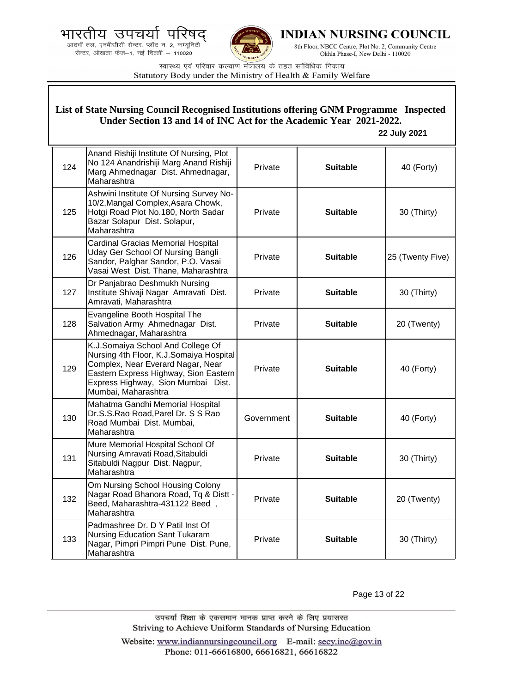



**INDIAN NURSING COUNCIL** 

8th Floor, NBCC Centre, Plot No. 2, Community Centre Okhla Phase-I, New Delhi - 110020

स्वास्थ्य एवं परिवार कल्याण मंत्रालय के तहत सांविधिक निकाय Statutory Body under the Ministry of Health & Family Welfare

|     | List of State Nursing Council Recognised Institutions offering GNM Programme Inspected<br>Under Section 13 and 14 of INC Act for the Academic Year 2021-2022.<br>22 July 2021                                           |            |                 |                  |  |
|-----|-------------------------------------------------------------------------------------------------------------------------------------------------------------------------------------------------------------------------|------------|-----------------|------------------|--|
| 124 | Anand Rishiji Institute Of Nursing, Plot<br>No 124 Anandrishiji Marg Anand Rishiji<br>Marg Ahmednagar Dist. Ahmednagar,<br>Maharashtra                                                                                  | Private    | <b>Suitable</b> | 40 (Forty)       |  |
| 125 | Ashwini Institute Of Nursing Survey No-<br>10/2, Mangal Complex, Asara Chowk,<br>Hotgi Road Plot No.180, North Sadar<br>Bazar Solapur Dist. Solapur,<br>Maharashtra                                                     | Private    | <b>Suitable</b> | 30 (Thirty)      |  |
| 126 | Cardinal Gracias Memorial Hospital<br>Uday Ger School Of Nursing Bangli<br>Sandor, Palghar Sandor, P.O. Vasai<br>Vasai West Dist. Thane, Maharashtra                                                                    | Private    | <b>Suitable</b> | 25 (Twenty Five) |  |
| 127 | Dr Panjabrao Deshmukh Nursing<br>Institute Shivaji Nagar Amravati Dist.<br>Amravati, Maharashtra                                                                                                                        | Private    | <b>Suitable</b> | 30 (Thirty)      |  |
| 128 | Evangeline Booth Hospital The<br>Salvation Army Ahmednagar Dist.<br>Ahmednagar, Maharashtra                                                                                                                             | Private    | <b>Suitable</b> | 20 (Twenty)      |  |
| 129 | K.J.Somaiya School And College Of<br>Nursing 4th Floor, K.J.Somaiya Hospital<br>Complex, Near Everard Nagar, Near<br>Eastern Express Highway, Sion Eastern<br>Express Highway, Sion Mumbai Dist.<br>Mumbai, Maharashtra | Private    | <b>Suitable</b> | 40 (Forty)       |  |
| 130 | Mahatma Gandhi Memorial Hospital<br>Dr.S.S.Rao Road, Parel Dr. S S Rao<br>Road Mumbai Dist. Mumbai,<br>Maharashtra                                                                                                      | Government | <b>Suitable</b> | 40 (Forty)       |  |
| 131 | Mure Memorial Hospital School Of<br>Nursing Amravati Road, Sitabuldi<br>Sitabuldi Nagpur Dist. Nagpur,<br>Maharashtra                                                                                                   | Private    | <b>Suitable</b> | 30 (Thirty)      |  |
| 132 | Om Nursing School Housing Colony<br>Nagar Road Bhanora Road, Tq & Distt -<br>Beed, Maharashtra-431122 Beed,<br>Maharashtra                                                                                              | Private    | <b>Suitable</b> | 20 (Twenty)      |  |
| 133 | Padmashree Dr. D Y Patil Inst Of<br>Nursing Education Sant Tukaram<br>Nagar, Pimpri Pimpri Pune Dist. Pune,<br>Maharashtra                                                                                              | Private    | <b>Suitable</b> | 30 (Thirty)      |  |

Page 13 of 22

उपचर्या शिक्षा के एकसमान मानक प्राप्त करने के लिए प्रयासरत Striving to Achieve Uniform Standards of Nursing Education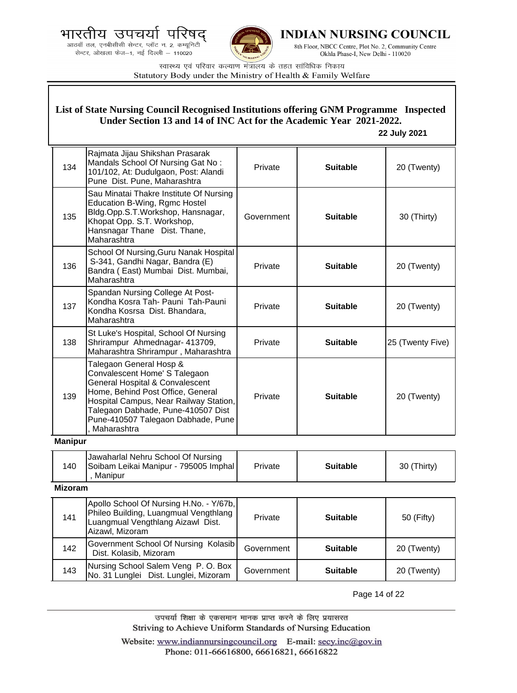



**INDIAN NURSING COUNCIL** 

8th Floor, NBCC Centre, Plot No. 2, Community Centre Okhla Phase-I, New Delhi - 110020

स्वास्थ्य एवं परिवार कल्याण मंत्रालय के तहत सांविधिक निकाय Statutory Body under the Ministry of Health & Family Welfare

|                | List of State Nursing Council Recognised Institutions offering GNM Programme Inspected<br>Under Section 13 and 14 of INC Act for the Academic Year 2021-2022.<br>22 July 2021                                                                                         |            |                 |                  |  |
|----------------|-----------------------------------------------------------------------------------------------------------------------------------------------------------------------------------------------------------------------------------------------------------------------|------------|-----------------|------------------|--|
| 134            | Rajmata Jijau Shikshan Prasarak<br>Mandals School Of Nursing Gat No:<br>101/102, At: Dudulgaon, Post: Alandi<br>Pune Dist. Pune, Maharashtra                                                                                                                          | Private    | <b>Suitable</b> | 20 (Twenty)      |  |
| 135            | Sau Minatai Thakre Institute Of Nursing<br>Education B-Wing, Rgmc Hostel<br>Bldg.Opp.S.T.Workshop, Hansnagar,<br>Khopat Opp. S.T. Workshop,<br>Hansnagar Thane Dist. Thane,<br>Maharashtra                                                                            | Government | <b>Suitable</b> | 30 (Thirty)      |  |
| 136            | School Of Nursing, Guru Nanak Hospital<br>S-341, Gandhi Nagar, Bandra (E)<br>Bandra (East) Mumbai Dist. Mumbai,<br>Maharashtra                                                                                                                                        | Private    | <b>Suitable</b> | 20 (Twenty)      |  |
| 137            | Spandan Nursing College At Post-<br>Kondha Kosra Tah- Pauni Tah-Pauni<br>Kondha Kosrsa Dist. Bhandara,<br>Maharashtra                                                                                                                                                 | Private    | <b>Suitable</b> | 20 (Twenty)      |  |
| 138            | St Luke's Hospital, School Of Nursing<br>Shrirampur Ahmednagar- 413709,<br>Maharashtra Shrirampur, Maharashtra                                                                                                                                                        | Private    | <b>Suitable</b> | 25 (Twenty Five) |  |
| 139            | Talegaon General Hosp &<br>Convalescent Home' S Talegaon<br>General Hospital & Convalescent<br>Home, Behind Post Office, General<br>Hospital Campus, Near Railway Station,<br>Talegaon Dabhade, Pune-410507 Dist<br>Pune-410507 Talegaon Dabhade, Pune<br>Maharashtra | Private    | <b>Suitable</b> | 20 (Twenty)      |  |
| <b>Manipur</b> |                                                                                                                                                                                                                                                                       |            |                 |                  |  |
| 140            | Jawaharlal Nehru School Of Nursing<br>Soibam Leikai Manipur - 795005 Imphal  <br>, Manipur                                                                                                                                                                            | Private    | <b>Suitable</b> | 30 (Thirty)      |  |
| <b>Mizoram</b> |                                                                                                                                                                                                                                                                       |            |                 |                  |  |
| 141            | Apollo School Of Nursing H.No. - Y/67b,<br>Phileo Building, Luangmual Vengthlang<br>Luangmual Vengthlang Aizawl Dist.<br>Aizawl, Mizoram                                                                                                                              | Private    | <b>Suitable</b> | 50 (Fifty)       |  |
| 142            | Government School Of Nursing Kolasib<br>Dist. Kolasib, Mizoram                                                                                                                                                                                                        | Government | <b>Suitable</b> | 20 (Twenty)      |  |
| 143            | Nursing School Salem Veng P.O. Box<br>No. 31 Lunglei Dist. Lunglei, Mizoram                                                                                                                                                                                           | Government | <b>Suitable</b> | 20 (Twenty)      |  |

Page 14 of 22

उपचर्या शिक्षा के एकसमान मानक प्राप्त करने के लिए प्रयासरत Striving to Achieve Uniform Standards of Nursing Education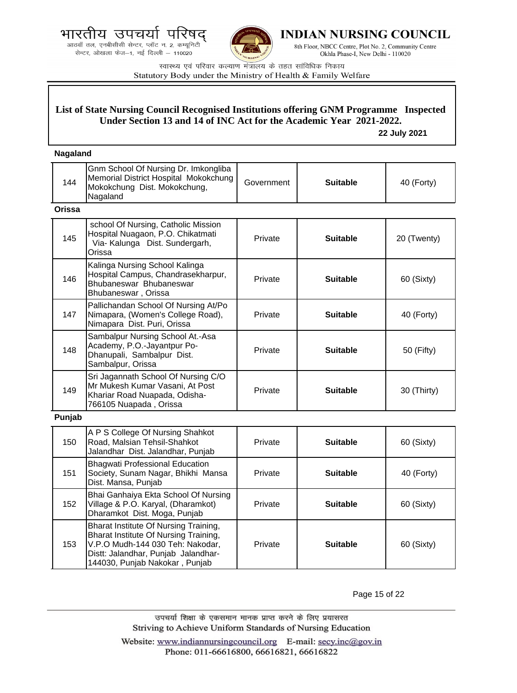आठवाँ तल, एनबीसीसी सेन्टर, प्लॉट न. 2, कम्यूनिटी सेन्टर, ओखला फेज-1, नई दिल्ली - 110020



**INDIAN NURSING COUNCIL** 

8th Floor, NBCC Centre, Plot No. 2, Community Centre Okhla Phase-I, New Delhi - 110020

स्वास्थ्य एवं परिवार कल्याण मंत्रालय के तहत सांविधिक निकाय Statutory Body under the Ministry of Health & Family Welfare

## **List of State Nursing Council Recognised Institutions offering GNM Programme Inspected Under Section 13 and 14 of INC Act for the Academic Year 2021-2022.**

 **22 July 2021**

### **Nagaland**

| 144           | Gnm School Of Nursing Dr. Imkongliba<br>Memorial District Hospital Mokokchung<br>Mokokchung Dist. Mokokchung,<br>Nagaland         | Government | <b>Suitable</b> | 40 (Forty)  |
|---------------|-----------------------------------------------------------------------------------------------------------------------------------|------------|-----------------|-------------|
| <b>Orissa</b> |                                                                                                                                   |            |                 |             |
| 145           | school Of Nursing, Catholic Mission<br>Hospital Nuagaon, P.O. Chikatmati<br>Via- Kalunga Dist. Sundergarh,<br>Orissa              | Private    | <b>Suitable</b> | 20 (Twenty) |
| 146           | Kalinga Nursing School Kalinga<br>Hospital Campus, Chandrasekharpur,<br>Bhubaneswar Bhubaneswar<br>Bhubaneswar, Orissa            | Private    | <b>Suitable</b> | 60 (Sixty)  |
| 147           | Pallichandan School Of Nursing At/Po<br>Nimapara, (Women's College Road),<br>Nimapara Dist. Puri, Orissa                          | Private    | <b>Suitable</b> | 40 (Forty)  |
| 148           | Sambalpur Nursing School At.-Asa<br>Academy, P.O.-Jayantpur Po-<br>Dhanupali, Sambalpur Dist.<br>Sambalpur, Orissa                | Private    | <b>Suitable</b> | 50 (Fifty)  |
| 149           | Sri Jagannath School Of Nursing C/O<br>Mr Mukesh Kumar Vasani, At Post<br>Khariar Road Nuapada, Odisha-<br>766105 Nuapada, Orissa | Private    | <b>Suitable</b> | 30 (Thirty) |
| Punjab        |                                                                                                                                   |            |                 |             |
| 150           | A P S College Of Nursing Shahkot<br>Road, Malsian Tehsil-Shahkot<br>Jalandhar Dist. Jalandhar, Punjab                             | Private    | <b>Suitable</b> | 60 (Sixty)  |
| 151           | <b>Bhagwati Professional Education</b><br>Society, Sunam Nagar, Bhikhi Mansa<br>Dist. Mansa, Punjab                               | Private    | <b>Suitable</b> | 40 (Forty)  |
| 152           | Bhai Ganhaiya Ekta School Of Nursing<br>Village & P.O. Karyal, (Dharamkot)<br>بالقائد المحامدة                                    | Private    | <b>Suitable</b> | 60 (Sixty)  |

Dharamkot Dist. Moga, Punjab 153 Bharat Institute Of Nursing Training, Bharat Institute Of Nursing Training, V.P.O Mudh-144 030 Teh: Nakodar, Distt: Jalandhar, Punjab Jalandhar-144030, Punjab Nakokar , Punjab Private | **Suitable** | 60 (Sixty)

Page 15 of 22

उपचर्या शिक्षा के एकसमान मानक प्राप्त करने के लिए प्रयासरत Striving to Achieve Uniform Standards of Nursing Education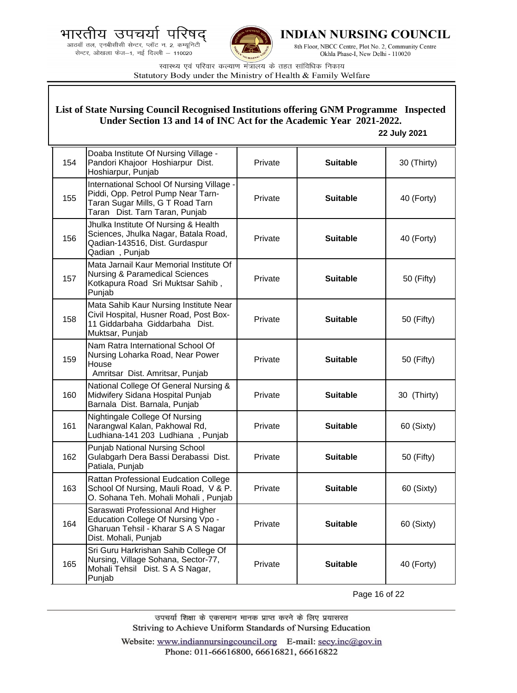आठवाँ तल, एनबीसीसी सेन्टर, प्लॉट न. 2, कम्यूनिटी सेन्टर, ओखला फेज-1, नई दिल्ली - 110020



**INDIAN NURSING COUNCIL** 

8th Floor, NBCC Centre, Plot No. 2, Community Centre Okhla Phase-I, New Delhi - 110020

स्वास्थ्य एवं परिवार कल्याण मंत्रालय के तहत सांविधिक निकाय Statutory Body under the Ministry of Health & Family Welfare

## **List of State Nursing Council Recognised Institutions offering GNM Programme Inspected Under Section 13 and 14 of INC Act for the Academic Year 2021-2022.**

### **22 July 2021**

| 154 | Doaba Institute Of Nursing Village -<br>Pandori Khajoor Hoshiarpur Dist.<br>Hoshiarpur, Punjab                                                        | Private | <b>Suitable</b> | 30 (Thirty) |
|-----|-------------------------------------------------------------------------------------------------------------------------------------------------------|---------|-----------------|-------------|
| 155 | International School Of Nursing Village -<br>Piddi, Opp. Petrol Pump Near Tarn-<br>Taran Sugar Mills, G T Road Tarn<br>Taran Dist. Tarn Taran, Punjab | Private | <b>Suitable</b> | 40 (Forty)  |
| 156 | Jhulka Institute Of Nursing & Health<br>Sciences, Jhulka Nagar, Batala Road,<br>Qadian-143516, Dist. Gurdaspur<br>Qadian, Punjab                      | Private | <b>Suitable</b> | 40 (Forty)  |
| 157 | Mata Jarnail Kaur Memorial Institute Of<br><b>Nursing &amp; Paramedical Sciences</b><br>Kotkapura Road Sri Muktsar Sahib,<br>Punjab                   | Private | <b>Suitable</b> | 50 (Fifty)  |
| 158 | Mata Sahib Kaur Nursing Institute Near<br>Civil Hospital, Husner Road, Post Box-<br>11 Giddarbaha Giddarbaha Dist.<br>Muktsar, Punjab                 | Private | <b>Suitable</b> | 50 (Fifty)  |
| 159 | Nam Ratra International School Of<br>Nursing Loharka Road, Near Power<br>House<br>Amritsar Dist. Amritsar, Punjab                                     | Private | <b>Suitable</b> | 50 (Fifty)  |
| 160 | National College Of General Nursing &<br>Midwifery Sidana Hospital Punjab<br>Barnala Dist. Barnala, Punjab                                            | Private | <b>Suitable</b> | 30 (Thirty) |
| 161 | Nightingale College Of Nursing<br>Narangwal Kalan, Pakhowal Rd,<br>Ludhiana-141 203 Ludhiana, Punjab                                                  | Private | <b>Suitable</b> | 60 (Sixty)  |
| 162 | Punjab National Nursing School<br>Gulabgarh Dera Bassi Derabassi Dist.<br>Patiala, Punjab                                                             | Private | <b>Suitable</b> | 50 (Fifty)  |
| 163 | Rattan Professional Eudcation College<br>School Of Nursing, Mauli Road, V & P.<br>O. Sohana Teh. Mohali Mohali, Punjab                                | Private | <b>Suitable</b> | 60 (Sixty)  |
| 164 | Saraswati Professional And Higher<br>Education College Of Nursing Vpo -<br>Gharuan Tehsil - Kharar S A S Nagar<br>Dist. Mohali, Punjab                | Private | <b>Suitable</b> | 60 (Sixty)  |
| 165 | Sri Guru Harkrishan Sahib College Of<br>Nursing, Village Sohana, Sector-77,<br>Mohali Tehsil Dist. S A S Nagar,<br>Punjab                             | Private | <b>Suitable</b> | 40 (Forty)  |

Page 16 of 22

उपचर्या शिक्षा के एकसमान मानक प्राप्त करने के लिए प्रयासरत Striving to Achieve Uniform Standards of Nursing Education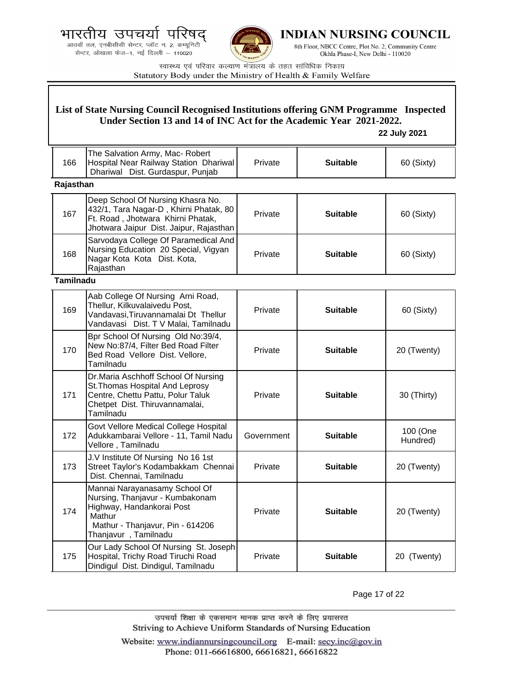.<br>आठवाँ तल, एनबीसीसी सेन्टर, प्लॉट न. 2, कम्यूनिटी<br>सेन्टर, ओखला फेज—1, नई दिल्ली — 110020



**INDIAN NURSING COUNCIL** 

8th Floor, NBCC Centre, Plot No. 2, Community Centre Okhla Phase-I, New Delhi - 110020

स्वास्थ्य एवं परिवार कल्याण मंत्रालय के तहत सांविधिक निकाय Statutory Body under the Ministry of Health & Family Welfare

| List of State Nursing Council Recognised Institutions offering GNM Programme Inspected<br>Under Section 13 and 14 of INC Act for the Academic Year 2021-2022.<br>22 July 2021 |                                                                                                                                                                     |            |                 |                      |
|-------------------------------------------------------------------------------------------------------------------------------------------------------------------------------|---------------------------------------------------------------------------------------------------------------------------------------------------------------------|------------|-----------------|----------------------|
|                                                                                                                                                                               |                                                                                                                                                                     |            |                 |                      |
| 166                                                                                                                                                                           | The Salvation Army, Mac- Robert<br>Hospital Near Railway Station Dhariwal<br>Dhariwal Dist. Gurdaspur, Punjab                                                       | Private    | <b>Suitable</b> | 60 (Sixty)           |
| Rajasthan                                                                                                                                                                     |                                                                                                                                                                     |            |                 |                      |
| 167                                                                                                                                                                           | Deep School Of Nursing Khasra No.<br>432/1, Tara Nagar-D, Khirni Phatak, 80<br>Ft. Road, Jhotwara Khirni Phatak,<br>Jhotwara Jaipur Dist. Jaipur, Rajasthan         | Private    | <b>Suitable</b> | 60 (Sixty)           |
| 168                                                                                                                                                                           | Sarvodaya College Of Paramedical And<br>Nursing Education 20 Special, Vigyan<br>Nagar Kota Kota Dist. Kota,<br>Rajasthan                                            | Private    | <b>Suitable</b> | 60 (Sixty)           |
| <b>Tamilnadu</b>                                                                                                                                                              |                                                                                                                                                                     |            |                 |                      |
| 169                                                                                                                                                                           | Aab College Of Nursing Arni Road,<br>Thellur, Kilkuvalaivedu Post,<br>Vandavasi, Tiruvannamalai Dt Thellur<br>Vandavasi Dist. T V Malai, Tamilnadu                  | Private    | <b>Suitable</b> | 60 (Sixty)           |
| 170                                                                                                                                                                           | Bpr School Of Nursing Old No:39/4,<br>New No:87/4, Filter Bed Road Filter<br>Bed Road Vellore Dist. Vellore,<br>Tamilnadu                                           | Private    | <b>Suitable</b> | 20 (Twenty)          |
| 171                                                                                                                                                                           | Dr.Maria Aschhoff School Of Nursing<br>St. Thomas Hospital And Leprosy<br>Centre, Chettu Pattu, Polur Taluk<br>Chetpet Dist. Thiruvannamalai,<br>Tamilnadu          | Private    | <b>Suitable</b> | 30 (Thirty)          |
| 172                                                                                                                                                                           | Govt Vellore Medical College Hospital<br>Adukkambarai Vellore - 11, Tamil Nadu<br>Vellore, Tamilnadu                                                                | Government | <b>Suitable</b> | 100 (One<br>Hundred) |
| 173                                                                                                                                                                           | J.V Institute Of Nursing No 16 1st<br>Street Taylor's Kodambakkam Chennai<br>Dist. Chennai, Tamilnadu                                                               | Private    | <b>Suitable</b> | 20 (Twenty)          |
| 174                                                                                                                                                                           | Mannai Narayanasamy School Of<br>Nursing, Thanjavur - Kumbakonam<br>Highway, Handankorai Post<br>Mathur<br>Mathur - Thanjavur, Pin - 614206<br>Thanjavur, Tamilnadu | Private    | <b>Suitable</b> | 20 (Twenty)          |
| 175                                                                                                                                                                           | Our Lady School Of Nursing St. Joseph<br>Hospital, Trichy Road Tiruchi Road<br>Dindigul Dist. Dindigul, Tamilnadu                                                   | Private    | <b>Suitable</b> | 20 (Twenty)          |

Page 17 of 22

उपचर्या शिक्षा के एकसमान मानक प्राप्त करने के लिए प्रयासरत Striving to Achieve Uniform Standards of Nursing Education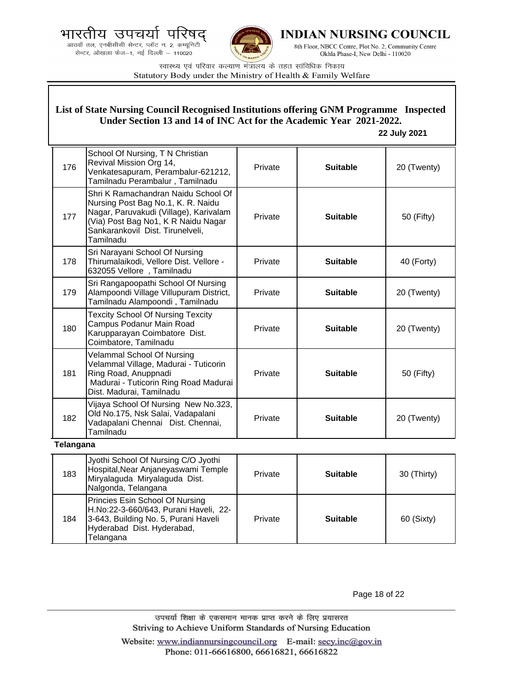.<br>आठवाँ तल, एनबीसीसी सेन्टर, प्लॉट न. 2, कम्यूनिटी सेन्टर, ओखला फेज-1, नई दिल्ली - 110020



INDIAN NURSING COUNCIL

8th Floor, NBCC Centre, Plot No. 2, Community Centre Okhla Phase-I, New Delhi - 110020

स्वास्थ्य एवं परिवार कल्याण मंत्रालय के तहत सांविधिक निकाय Statutory Body under the Ministry of Health & Family Welfare

#### 176 School Of Nursing, T N Christian Revival Mission Org 14, Venkatesapuram, Perambalur-621212, Tamilnadu Perambalur , Tamilnadu Private **Suitable** 20 (Twenty) 177 Shri K Ramachandran Naidu School Of Nursing Post Bag No.1, K. R. Naidu Nagar, Paruvakudi (Village), Karivalam (Via) Post Bag No1, K R Naidu Nagar Sankarankovil Dist. Tirunelveli, Tamilnadu Private **Suitable 50** (Fifty) 178 Sri Narayani School Of Nursing Thirumalaikodi, Vellore Dist. Vellore - 632055 Vellore , Tamilnadu Private **Suitable 40 (Forty)** 179 Sri Rangapoopathi School Of Nursing Alampoondi Village Villupuram District, Tamilnadu Alampoondi , Tamilnadu Private **Suitable** 20 (Twenty) 180 Texcity School Of Nursing Texcity Campus Podanur Main Road Karupparayan Coimbatore Dist. Coimbatore, Tamilnadu Private **Suitable** 20 (Twenty) 181 Velammal School Of Nursing Velammal Village, Madurai - Tuticorin Ring Road, Anuppnadi Madurai - Tuticorin Ring Road Madurai Dist. Madurai, Tamilnadu Private **Suitable Figure Suitable Figure SO** (Fifty) 182 Vijaya School Of Nursing New No.323, Old No.175, Nsk Salai, Vadapalani Vadapalani Chennai Dist. Chennai, Tamilnadu Private **Suitable** 20 (Twenty) **Telangana** 183 Jyothi School Of Nursing C/O Jyothi Hospital,Near Anjaneyaswami Temple Miryalaguda Miryalaguda Dist. Nalgonda, Telangana Private **Suitable** 30 (Thirty) **List of State Nursing Council Recognised Institutions offering GNM Programme Inspected Under Section 13 and 14 of INC Act for the Academic Year 2021-2022. 22 July 2021**

184 Princies Esin School Of Nursing H.No:22-3-660/643, Purani Haveli, 22- 3-643, Building No. 5, Purani Haveli Hyderabad Dist. Hyderabad, Telangana Private **Suitable 60 (Sixty)** 

Page 18 of 22

उपचर्या शिक्षा के एकसमान मानक प्राप्त करने के लिए प्रयासरत Striving to Achieve Uniform Standards of Nursing Education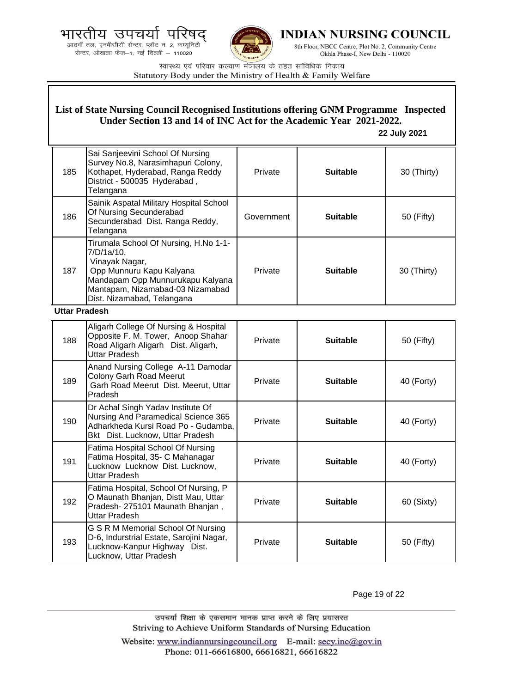भारतीय उपचर्या ਧ





INDIAN NURSING COUNCIL

8th Floor, NBCC Centre, Plot No. 2, Community Centre Okhla Phase-I, New Delhi - 110020

स्वास्थ्य एवं परिवार कल्याण मंत्रालय के तहत सांविधिक निकाय Statutory Body under the Ministry of Health & Family Welfare

#### 185 Sai Sanjeevini School Of Nursing Survey No.8, Narasimhapuri Colony, Kothapet, Hyderabad, Ranga Reddy District - 500035 Hyderabad , **Telangana** Private **Suitable** | 30 (Thirty) 186 Sainik Aspatal Military Hospital School Of Nursing Secunderabad Secunderabad Dist. Ranga Reddy, Telangana Government **Suitable** 50 (Fifty) 187 Tirumala School Of Nursing, H.No 1-1- 7/D/1a/10, Vinayak Nagar, Opp Munnuru Kapu Kalyana Mandapam Opp Munnurukapu Kalyana Mantapam, Nizamabad-03 Nizamabad Dist. Nizamabad, Telangana Private **Suitable** | 30 (Thirty) **Uttar Pradesh** 188 Aligarh College Of Nursing & Hospital Opposite F. M. Tower, Anoop Shahar Road Aligarh Aligarh Dist. Aligarh, Uttar Pradesh Private | **Suitable** | 50 (Fifty) 189 Anand Nursing College A-11 Damodar Colony Garh Road Meerut Garh Road Meerut Dist. Meerut, Uttar Pradesh Private **Suitable 40 (Forty)** 190 Dr Achal Singh Yadav Institute Of Nursing And Paramedical Science 365 Adharkheda Kursi Road Po - Gudamba, Bkt Dist. Lucknow, Uttar Pradesh Private **Suitable 40 (Forty)** 191 Fatima Hospital School Of Nursing Fatima Hospital, 35- C Mahanagar Lucknow Lucknow Dist. Lucknow, Uttar Pradesh Private **Suitable 40 (Forty)** 192 Fatima Hospital, School Of Nursing, P O Maunath Bhanjan, Distt Mau, Uttar Pradesh- 275101 Maunath Bhanjan , Uttar Pradesh Private **Suitable 60 (Sixty)** 193 G S R M Memorial School Of Nursing D-6, Indurstrial Estate, Sarojini Nagar, Lucknow-Kanpur Highway Dist. Lucknow, Uttar Pradesh Private **Suitable Figure Suitable Figure SO** (Fifty) **List of State Nursing Council Recognised Institutions offering GNM Programme Inspected Under Section 13 and 14 of INC Act for the Academic Year 2021-2022. 22 July 2021**

Page 19 of 22

उपचर्या शिक्षा के एकसमान मानक प्राप्त करने के लिए प्रयासरत Striving to Achieve Uniform Standards of Nursing Education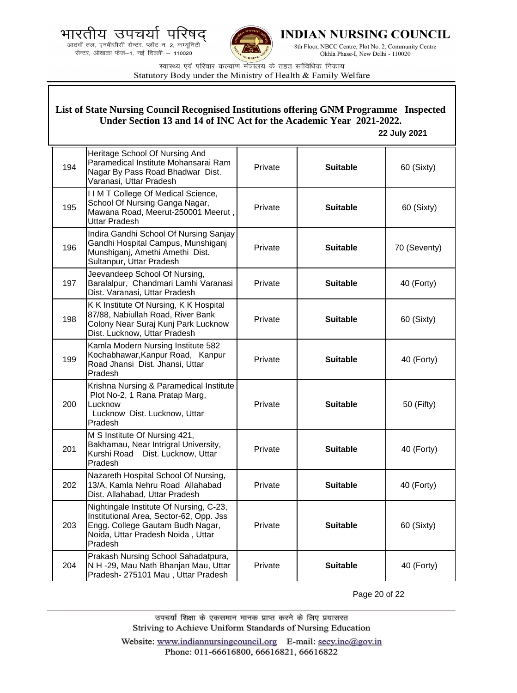भारतीय उपचयो ਧ





**INDIAN NURSING COUNCIL** 

8th Floor, NBCC Centre, Plot No. 2, Community Centre Okhla Phase-I, New Delhi - 110020

स्वास्थ्य एवं परिवार कल्याण मंत्रालय के तहत सांविधिक निकाय Statutory Body under the Ministry of Health & Family Welfare

| List of State Nursing Council Recognised Institutions offering GNM Programme Inspected<br>Under Section 13 and 14 of INC Act for the Academic Year 2021-2022. |                                                                                                                                                                        |         |                 |              |
|---------------------------------------------------------------------------------------------------------------------------------------------------------------|------------------------------------------------------------------------------------------------------------------------------------------------------------------------|---------|-----------------|--------------|
|                                                                                                                                                               |                                                                                                                                                                        |         |                 | 22 July 2021 |
| 194                                                                                                                                                           | Heritage School Of Nursing And<br>Paramedical Institute Mohansarai Ram<br>Nagar By Pass Road Bhadwar Dist.<br>Varanasi, Uttar Pradesh                                  | Private | <b>Suitable</b> | 60 (Sixty)   |
| 195                                                                                                                                                           | I I M T College Of Medical Science,<br>School Of Nursing Ganga Nagar,<br>Mawana Road, Meerut-250001 Meerut,<br><b>Uttar Pradesh</b>                                    | Private | <b>Suitable</b> | 60 (Sixty)   |
| 196                                                                                                                                                           | Indira Gandhi School Of Nursing Sanjay<br>Gandhi Hospital Campus, Munshiganj<br>Munshiganj, Amethi Amethi Dist.<br>Sultanpur, Uttar Pradesh                            | Private | <b>Suitable</b> | 70 (Seventy) |
| 197                                                                                                                                                           | Jeevandeep School Of Nursing,<br>Baralalpur, Chandmari Lamhi Varanasi<br>Dist. Varanasi, Uttar Pradesh                                                                 | Private | <b>Suitable</b> | 40 (Forty)   |
| 198                                                                                                                                                           | K K Institute Of Nursing, K K Hospital<br>87/88, Nabiullah Road, River Bank<br>Colony Near Suraj Kunj Park Lucknow<br>Dist. Lucknow, Uttar Pradesh                     | Private | <b>Suitable</b> | 60 (Sixty)   |
| 199                                                                                                                                                           | Kamla Modern Nursing Institute 582<br>Kochabhawar, Kanpur Road, Kanpur<br>Road Jhansi Dist. Jhansi, Uttar<br>Pradesh                                                   | Private | <b>Suitable</b> | 40 (Forty)   |
| 200                                                                                                                                                           | Krishna Nursing & Paramedical Institute<br>Plot No-2, 1 Rana Pratap Marg,<br>Lucknow<br>Lucknow Dist. Lucknow, Uttar<br>Pradesh                                        | Private | <b>Suitable</b> | 50 (Fifty)   |
| 201                                                                                                                                                           | M S Institute Of Nursing 421,<br>Bakhamau, Near Intrigral University,<br>Kurshi Road<br>Dist. Lucknow, Uttar<br>Pradesh                                                | Private | <b>Suitable</b> | 40 (Forty)   |
| 202                                                                                                                                                           | Nazareth Hospital School Of Nursing,<br>13/A, Kamla Nehru Road Allahabad<br>Dist. Allahabad, Uttar Pradesh                                                             | Private | <b>Suitable</b> | 40 (Forty)   |
| 203                                                                                                                                                           | Nightingale Institute Of Nursing, C-23,<br>Institutional Area, Sector-62, Opp. Jss<br>Engg. College Gautam Budh Nagar,<br>Noida, Uttar Pradesh Noida, Uttar<br>Pradesh | Private | <b>Suitable</b> | 60 (Sixty)   |
| 204                                                                                                                                                           | Prakash Nursing School Sahadatpura,<br>N H -29, Mau Nath Bhanjan Mau, Uttar<br>Pradesh-275101 Mau, Uttar Pradesh                                                       | Private | <b>Suitable</b> | 40 (Forty)   |

Page 20 of 22

उपचर्या शिक्षा के एकसमान मानक प्राप्त करने के लिए प्रयासरत Striving to Achieve Uniform Standards of Nursing Education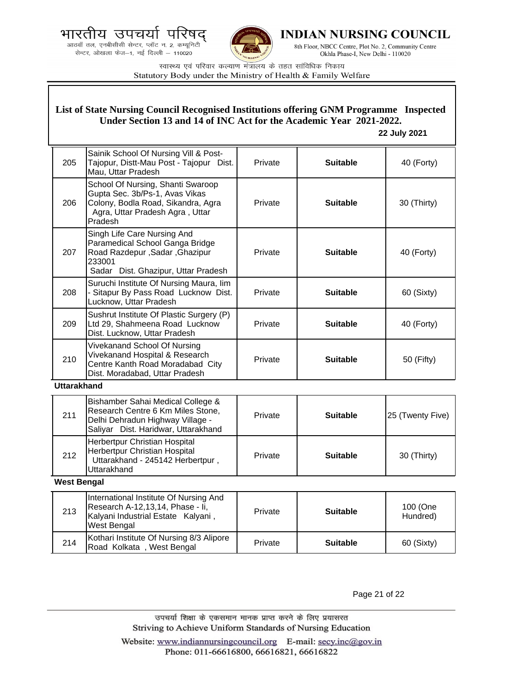



**INDIAN NURSING COUNCIL** 

8th Floor, NBCC Centre, Plot No. 2, Community Centre Okhla Phase-I, New Delhi - 110020

स्वास्थ्य एवं परिवार कल्याण मंत्रालय के तहत सांविधिक निकाय Statutory Body under the Ministry of Health & Family Welfare

## **List of State Nursing Council Recognised Institutions offering GNM Programme Inspected Under Section 13 and 14 of INC Act for the Academic Year 2021-2022.**

### **22 July 2021**

| 205                | Sainik School Of Nursing Vill & Post-<br>Tajopur, Distt-Mau Post - Tajopur Dist.<br>Mau, Uttar Pradesh                                                  | Private | <b>Suitable</b> | 40 (Forty)           |
|--------------------|---------------------------------------------------------------------------------------------------------------------------------------------------------|---------|-----------------|----------------------|
| 206                | School Of Nursing, Shanti Swaroop<br>Gupta Sec. 3b/Ps-1, Avas Vikas<br>Colony, Bodla Road, Sikandra, Agra<br>Agra, Uttar Pradesh Agra, Uttar<br>Pradesh | Private | <b>Suitable</b> | 30 (Thirty)          |
| 207                | Singh Life Care Nursing And<br>Paramedical School Ganga Bridge<br>Road Razdepur, Sadar, Ghazipur<br>233001<br>Sadar Dist. Ghazipur, Uttar Pradesh       | Private | <b>Suitable</b> | 40 (Forty)           |
| 208                | Suruchi Institute Of Nursing Maura, lim<br>- Sitapur By Pass Road Lucknow Dist.<br>Lucknow, Uttar Pradesh                                               | Private | <b>Suitable</b> | 60 (Sixty)           |
| 209                | Sushrut Institute Of Plastic Surgery (P)<br>Ltd 29, Shahmeena Road Lucknow<br>Dist. Lucknow, Uttar Pradesh                                              | Private | <b>Suitable</b> | 40 (Forty)           |
| 210                | Vivekanand School Of Nursing<br>Vivekanand Hospital & Research<br>Centre Kanth Road Moradabad City<br>Dist. Moradabad, Uttar Pradesh                    | Private | <b>Suitable</b> | 50 (Fifty)           |
| <b>Uttarakhand</b> |                                                                                                                                                         |         |                 |                      |
| 211                | Bishamber Sahai Medical College &<br>Research Centre 6 Km Miles Stone,<br>Delhi Dehradun Highway Village -<br>Saliyar Dist. Haridwar, Uttarakhand       | Private | <b>Suitable</b> | 25 (Twenty Five)     |
| 212                | Herbertpur Christian Hospital<br>Herbertpur Christian Hospital<br>Uttarakhand - 245142 Herbertpur,<br>Uttarakhand                                       | Private | <b>Suitable</b> | 30 (Thirty)          |
| <b>West Bengal</b> |                                                                                                                                                         |         |                 |                      |
| 213                | International Institute Of Nursing And<br>Research A-12,13,14, Phase - li,<br>Kalyani Industrial Estate Kalyani,<br>West Bengal                         | Private | <b>Suitable</b> | 100 (One<br>Hundred) |
| 214                | Kothari Institute Of Nursing 8/3 Alipore<br>Road Kolkata, West Bengal                                                                                   | Private | <b>Suitable</b> | 60 (Sixty)           |

Page 21 of 22

उपचर्या शिक्षा के एकसमान मानक प्राप्त करने के लिए प्रयासरत Striving to Achieve Uniform Standards of Nursing Education